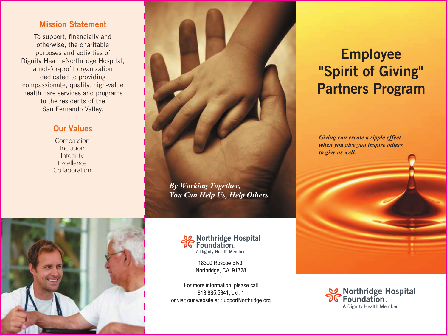## Mission Statement

To support, financially and otherwise, the charitable purposes and activities of Dignity Health-Northridge Hospital, a not-for-profit organization dedicated to providing compassionate, quality, high-value health care services and programs to the residents of the San Fernando Valley.

# Our Values

Compassion Inclusion **Integrity Excellence** Collaboration





18300 Roscoe Blvd. Northridge, CA 91328

For more information, please call 818.885.5341, ext. 1 or visit our website at SupportNorthridge.org

# Employee "Spirit of Giving" Partners Program

*Giving can create a ripple effect – when you give you inspire others to give as well.*